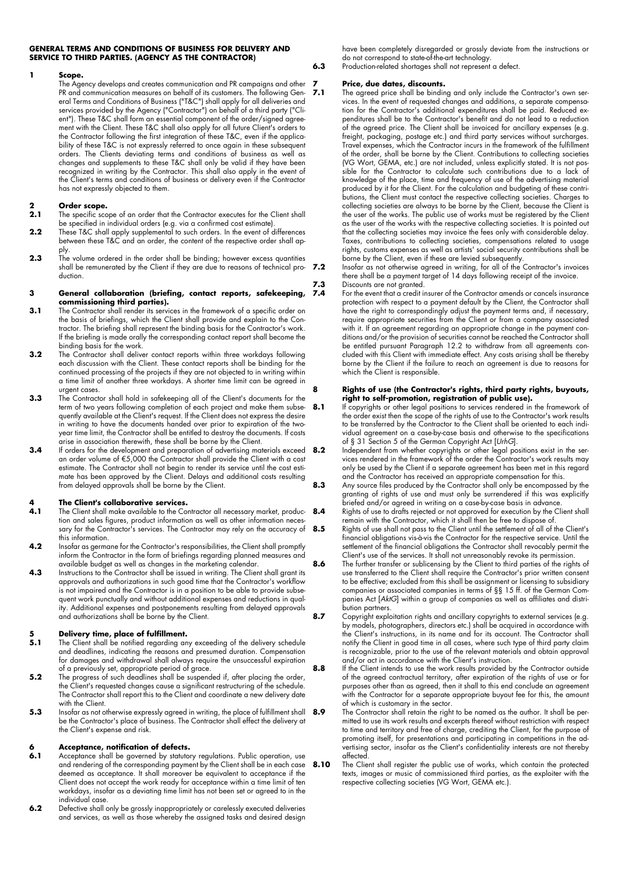#### **GENERAL TERMS AND CONDITIONS OF BUSINESS FOR DELIVERY AND SERVICE TO THIRD PARTIES. (AGENCY AS THE CONTRACTOR)**

#### **1 Scope.**

The Agency develops and creates communication and PR campaigns and other PR and communication measures on behalf of its customers. The following General Terms and Conditions of Business ("T&C") shall apply for all deliveries and services provided by the Agency ("Contractor") on behalf of a third party ("Client"). These T&C shall form an essential component of the order/signed agreement with the Client. These T&C shall also apply for all future Client's orders to the Contractor following the first integration of these T&C, even if the applicability of these T&C is not expressly referred to once again in these subsequent orders. The Clients deviating terms and conditions of business as well as changes and supplements to these T&C shall only be valid if they have been recognized in writing by the Contractor. This shall also apply in the event of the Client's terms and conditions of business or delivery even if the Contractor has not expressly objected to them.

## **2 Order scope.**

- **2.1** The specific scope of an order that the Contractor executes for the Client shall be specified in individual orders (e.g. via a confirmed cost estimate).
- **2.2** These T&C shall apply supplemental to such orders. In the event of differences between these T&C and an order, the content of the respective order shall apply.
- **2.3** The volume ordered in the order shall be binding; however excess quantities shall be remunerated by the Client if they are due to reasons of technical pro- 7.2 duction.

#### **3 General collaboration (briefing, contact reports, safekeeping, commissioning third parties).**

- **3.1** The Contractor shall render its services in the framework of a specific order on the basis of briefings, which the Client shall provide and explain to the Contractor. The briefing shall represent the binding basis for the Contractor's work. If the briefing is made orally the corresponding contact report shall become the binding basis for the work.
- **3.2** The Contractor shall deliver contact reports within three workdays following each discussion with the Client. These contact reports shall be binding for the continued processing of the projects if they are not objected to in writing within a time limit of another three workdays. A shorter time limit can be agreed in urgent cases.
- **3.3** The Contractor shall hold in safekeeping all of the Client's documents for the term of two years following completion of each project and make them subsequently available at the Client's request. If the Client does not express the desire in writing to have the documents handed over prior to expiration of the twoyear time limit, the Contractor shall be entitled to destroy the documents. If costs arise in association therewith, these shall be borne by the Client.
- **3.4** If orders for the development and preparation of advertising materials exceed **8.2** an order volume of €5,000 the Contractor shall provide the Client with a cost estimate. The Contractor shall not begin to render its service until the cost estimate has been approved by the Client. Delays and additional costs resulting from delayed approvals shall be borne by the Client.

### **4 The Client's collaborative services.**

- **4.1** The Client shall make available to the Contractor all necessary market, production and sales figures, product information as well as other information necessary for the Contractor's services. The Contractor may rely on the accuracy of this information.
- **4.2** Insofar as germane for the Contractor's responsibilities, the Client shall promptly inform the Contractor in the form of briefings regarding planned measures and available budget as well as changes in the marketing calendar.
- **4.3** Instructions to the Contractor shall be issued in writing. The Client shall grant its approvals and authorizations in such good time that the Contractor's workflow is not impaired and the Contractor is in a position to be able to provide subsequent work punctually and without additional expenses and reductions in quality. Additional expenses and postponements resulting from delayed approvals and authorizations shall be borne by the Client.

# **5 Delivery time, place of fulfillment.**<br>**5.1** The Client shall be notified regarding an

- **5.1** The Client shall be notified regarding any exceeding of the delivery schedule and deadlines, indicating the reasons and presumed duration. Compensation for damages and withdrawal shall always require the unsuccessful expiration of a previously set, appropriate period of grace.
- **5.2** The progress of such deadlines shall be suspended if, after placing the order, the Client's requested changes cause a significant restructuring of the schedule. The Contractor shall report this to the Client and coordinate a new delivery date with the Client.
- **5.3** Insofar as not otherwise expressly agreed in writing, the place of fulfillment shall be the Contractor's place of business. The Contractor shall effect the delivery at the Client's expense and risk.

# **6 Acceptance, notification of defects.**

- **6.1** Acceptance shall be governed by statutory regulations. Public operation, use and rendering of the corresponding payment by the Client shall be in each case deemed as acceptance. It shall moreover be equivalent to acceptance if the Client does not accept the work ready for acceptance within a time limit of ten workdays, insofar as a deviating time limit has not been set or agreed to in the individual case.
- **6.2** Defective shall only be grossly inappropriately or carelessly executed deliveries and services, as well as those whereby the assigned tasks and desired design

have been completely disregarded or grossly deviate from the instructions or do not correspond to state-of-the-art technology.

**6.3** Production-related shortages shall not represent a defect.

## **7 Price, due dates, discounts.**

The agreed price shall be binding and only include the Contractor's own services. In the event of requested changes and additions, a separate compensation for the Contractor's additional expenditures shall be paid. Reduced expenditures shall be to the Contractor's benefit and do not lead to a reduction of the agreed price. The Client shall be invoiced for ancillary expenses (e.g. freight, packaging, postage etc.) and third party services without surcharges. Travel expenses, which the Contractor incurs in the framework of the fulfillment of the order, shall be borne by the Client. Contributions to collecting societies (VG Wort, GEMA, etc.) are not included, unless explicitly stated. It is not possible for the Contractor to calculate such contributions due to a lack of knowledge of the place, time and frequency of use of the advertising material produced by it for the Client. For the calculation and budgeting of these contributions, the Client must contact the respective collecting societies. Charges to collecting societies are always to be borne by the Client, because the Client is the user of the works. The public use of works must be registered by the Client as the user of the works with the respective collecting societies. It is pointed out that the collecting societies may invoice the fees only with considerable delay. Taxes, contributions to collecting societies, compensations related to usage rights, customs expenses as well as artists' social security contributions shall be borne by the Client, even if these are levied subsequently.

**7.2** Insofar as not otherwise agreed in writing, for all of the Contractor's invoices there shall be a payment target of 14 days following receipt of the invoice. **7.3** Discounts are not granted.

For the event that a credit insurer of the Contractor amends or cancels insurance protection with respect to a payment default by the Client, the Contractor shall have the right to correspondingly adjust the payment terms and, if necessary, require appropriate securities from the Client or from a company associated with it. If an agreement regarding an appropriate change in the payment conditions and/or the provision of securities cannot be reached the Contractor shall be entitled pursuant Paragraph 12.2 to withdraw from all agreements concluded with this Client with immediate effect. Any costs arising shall be thereby borne by the Client if the failure to reach an agreement is due to reasons for which the Client is responsible.

#### **8 Rights of use (the Contractor's rights, third party rights, buyouts, right to self-promotion, registration of public use).**

8.1 If copyrights or other legal positions to services rendered in the framework of the order exist then the scope of the rights of use to the Contractor's work results to be transferred by the Contractor to the Client shall be oriented to each individual agreement on a case-by-case basis and otherwise to the specifications of § 31 Section 5 of the German Copyright Act [*UrhG*].

**8.2** Independent from whether copyrights or other legal positions exist in the services rendered in the framework of the order the Contractor's work results may only be used by the Client if a separate agreement has been met in this regard and the Contractor has received an appropriate compensation for this.

**8.3** Any source files produced by the Contractor shall only be encompassed by the granting of rights of use and must only be surrendered if this was explicitly briefed and/or agreed in writing on a case-by-case basis in advance.

**8.4** Rights of use to drafts rejected or not approved for execution by the Client shall remain with the Contractor, which it shall then be free to dispose of.

**8.5** Rights of use shall not pass to the Client until the settlement of all of the Client's financial obligations vis-à-vis the Contractor for the respective service. Until the settlement of the financial obligations the Contractor shall revocably permit the Client's use of the services. It shall not unreasonably revoke its permission.

**8.6** The further transfer or sublicensing by the Client to third parties of the rights of use transferred to the Client shall require the Contractor's prior written consent to be effective; excluded from this shall be assignment or licensing to subsidiary companies or associated companies in terms of §§ 15 ff. of the German Companies Act [*AktG*] within a group of companies as well as affiliates and distri-.<br>bution partners.

**8.7** Copyright exploitation rights and ancillary copyrights to external services (e.g. by models, photographers, directors etc.) shall be acquired in accordance with the Client's instructions, in its name and for its account. The Contractor shall notify the Client in good time in all cases, where such type of third party claim is recognizable, prior to the use of the relevant materials and obtain approval and/or act in accordance with the Client's instruction.

8.8 If the Client intends to use the work results provided by the Contractor outside of the agreed contractual territory, after expiration of the rights of use or for purposes other than as agreed, then it shall to this end conclude an agreement with the Contractor for a separate appropriate buyout fee for this, the amount of which is customary in the sector.

- **8.9** The Contractor shall retain the right to be named as the author. It shall be permitted to use its work results and excerpts thereof without restriction with respect to time and territory and free of charge, crediting the Client, for the purpose of promoting itself, for presentations and participating in competitions in the advertising sector, insofar as the Client's confidentiality interests are not thereby affected.
- 8.10 The Client shall register the public use of works, which contain the protected texts, images or music of commissioned third parties, as the exploiter with the respective collecting societies (VG Wort, GEMA etc.).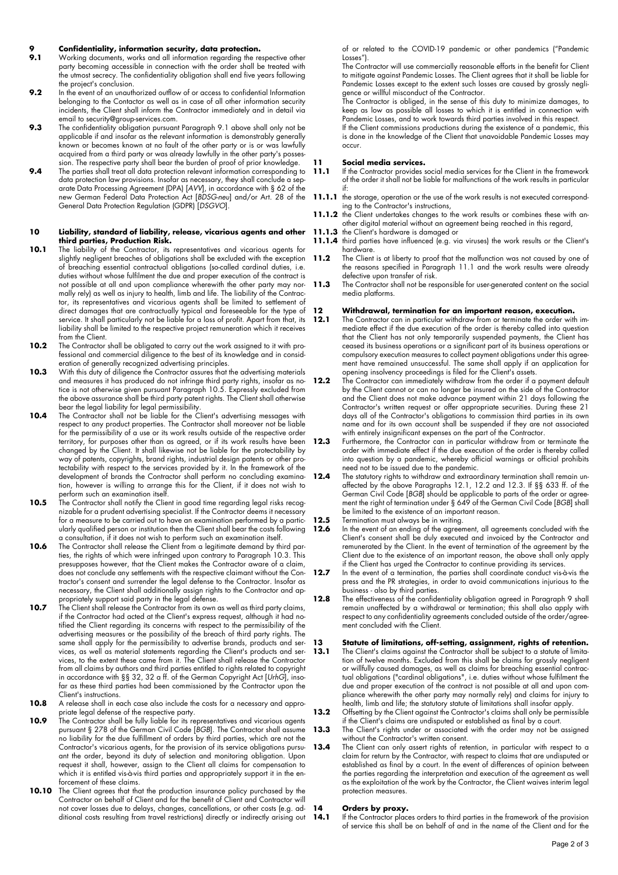## **9 Confidentiality, information security, data protection.**<br>**9 1** Working documents works and all information regarding the re-

- Working documents, works and all information regarding the respective other party becoming accessible in connection with the order shall be treated with the utmost secrecy. The confidentiality obligation shall end five years following the project's conclusion.
- **9.2** In the event of an unauthorized outflow of or access to confidential Information belonging to the Contactor as well as in case of all other information security incidents, the Client shall inform the Contractor immediately and in detail via email to security@group-services.com.
- **9.3** The confidentiality obligation pursuant Paragraph 9.1 above shall only not be applicable if and insofar as the relevant information is demonstrably generally known or becomes known at no fault of the other party or is or was lawfully acquired from a third party or was already lawfully in the other party's possession. The respective party shall bear the burden of proof of prior knowledge.
- **9.4** The parties shall treat all data protection relevant information corresponding to data protection law provisions. Insofar as necessary, they shall conclude a separate Data Processing Agreement (DPA) [*AVV*], in accordance with § 62 of the new German Federal Data Protection Act [*BDSG-neu*] and/or Art. 28 of the General Data Protection Regulation (GDPR) [*DSGVO*].

#### **10 Liability, standard of liability, release, vicarious agents and other third parties, Production Risk.**

- 10.1 The liability of the Contractor, its representatives and vicarious agents for slightly negligent breaches of obligations shall be excluded with the exception of breaching essential contractual obligations (so-called cardinal duties, i.e. duties without whose fulfilment the due and proper execution of the contract is not possible at all and upon compliance wherewith the other party may normally rely) as well as injury to health, limb and life. The liability of the Contractor, its representatives and vicarious agents shall be limited to settlement of direct damages that are contractually typical and foreseeable for the type of service. It shall particularly not be liable for a loss of profit. Apart from that, its liability shall be limited to the respective project remuneration which it receives from the Client.
- **10.2** The Contractor shall be obligated to carry out the work assigned to it with professional and commercial diligence to the best of its knowledge and in consideration of generally recognized advertising principles.
- **10.3** With this duty of diligence the Contractor assures that the advertising materials and measures it has produced do not infringe third party rights, insofar as notice is not otherwise given pursuant Paragraph 10.5. Expressly excluded from the above assurance shall be third party patent rights. The Client shall otherwise bear the legal liability for legal permissibility.
- **10.4** The Contractor shall not be liable for the Client's advertising messages with respect to any product properties. The Contractor shall moreover not be liable for the permissibility of a use or its work results outside of the respective order territory, for purposes other than as agreed, or if its work results have been changed by the Client. It shall likewise not be liable for the protectability by way of patents, copyrights, brand rights, industrial design patents or other protectability with respect to the services provided by it. In the framework of the development of brands the Contractor shall perform no concluding examination, however is willing to arrange this for the Client, if it does not wish to perform such an examination itself.
- **10.5** The Contractor shall notify the Client in good time regarding legal risks recognizable for a prudent advertising specialist. If the Contractor deems it necessary for a measure to be carried out to have an examination performed by a particularly qualified person or institution then the Client shall bear the costs following a consultation, if it does not wish to perform such an examination itself.
- **10.6** The Contractor shall release the Client from a legitimate demand by third parties, the rights of which were infringed upon contrary to Paragraph 10.3. This presupposes however, that the Client makes the Contractor aware of a claim, does not conclude any settlements with the respective claimant without the Contractor's consent and surrender the legal defense to the Contractor. Insofar as necessary, the Client shall additionally assign rights to the Contractor and appropriately support said party in the legal defense.
- **10.7** The Client shall release the Contractor from its own as well as third party claims, if the Contractor had acted at the Client's express request, although it had notified the Client regarding its concerns with respect to the permissibility of the advertising measures or the possibility of the breach of third party rights. The same shall apply for the permissibility to advertise brands, products and services, as well as material statements regarding the Client's products and services, to the extent these came from it. The Client shall release the Contractor from all claims by authors and third parties entitled to rights related to copyright in accordance with §§ 32, 32 a ff. of the German Copyright Act [*UrhG*], insofar as these third parties had been commissioned by the Contractor upon the Client's instructions.
- **10.8** A release shall in each case also include the costs for a necessary and appropriate legal defense of the respective party.
- **10.9** The Contractor shall be fully liable for its representatives and vicarious agents pursuant § 278 of the German Civil Code [*BGB*]. The Contractor shall assume no liability for the due fulfillment of orders by third parties, which are not the Contractor's vicarious agents, for the provision of its service obligations pursuant the order, beyond its duty of selection and monitoring obligation. Upon request it shall, however, assign to the Client all claims for compensation to which it is entitled vis-à-vis third parties and appropriately support it in the enforcement of these claims.
- **10.10** The Client agrees that that the production insurance policy purchased by the Contractor on behalf of Client and for the benefit of Client and Contractor will not cover losses due to delays, changes, cancellations, or other costs (e.g. additional costs resulting from travel restrictions) directly or indirectly arising out

of or related to the COVID-19 pandemic or other pandemics ("Pandemic Losses").

The Contractor will use commercially reasonable efforts in the benefit for Client to mitigate against Pandemic Losses. The Client agrees that it shall be liable for Pandemic Losses except to the extent such losses are caused by grossly negligence or willful misconduct of the Contractor.

The Contractor is obliged, in the sense of this duty to minimize damages, to keep as low as possible all losses to which it is entitled in connection with Pandemic Losses, and to work towards third parties involved in this respect.

If the Client commissions productions during the existence of a pandemic, this is done in the knowledge of the Client that unavoidable Pandemic Losses may occur.

#### **11 Social media services.**

- 11.1 If the Contractor provides social media services for the Client in the framework of the order it shall not be liable for malfunctions of the work results in particular if:
- 11.1.1 the storage, operation or the use of the work results is not executed corresponding to the Contractor's instructions,
- **11.1.2** the Client undertakes changes to the work results or combines these with another digital material without an agreement being reached in this regard,
- **11.1.3** the Client's hardware is damaged or
- **11.1.4** third parties have influenced (e.g. via viruses) the work results or the Client's hardware.
- **11.2** The Client is at liberty to proof that the malfunction was not caused by one of the reasons specified in Paragraph 11.1 and the work results were already defective upon transfer of risk.
- **11.3** The Contractor shall not be responsible for user-generated content on the social media platforms.

### **12 Withdrawal, termination for an important reason, execution.**

- **12.1** The Contractor can in particular withdraw from or terminate the order with immediate effect if the due execution of the order is thereby called into question that the Client has not only temporarily suspended payments, the Client has ceased its business operations or a significant part of its business operations or compulsory execution measures to collect payment obligations under this agreement have remained unsuccessful. The same shall apply if an application for opening insolvency proceedings is filed for the Client's assets.
- **12.2** The Contractor can immediately withdraw from the order if a payment default by the Client cannot or can no longer be insured on the side of the Contractor and the Client does not make advance payment within 21 days following the Contractor's written request or offer appropriate securities. During these 21 days all of the Contractor's obligations to commission third parties in its own name and for its own account shall be suspended if they are not associated with entirely insignificant expenses on the part of the Contractor.
- **12.3** Furthermore, the Contractor can in particular withdraw from or terminate the order with immediate effect if the due execution of the order is thereby called into question by a pandemic, whereby official warnings or official prohibits need not to be issued due to the pandemic.
- **12.4** The statutory rights to withdraw and extraordinary termination shall remain unaffected by the above Paragraphs 12.1, 12.2 and 12.3. If §§ 633 ff. of the German Civil Code [*BGB*] should be applicable to parts of the order or agreement the right of termination under § 649 of the German Civil Code [*BGB*] shall be limited to the existence of an important reason.
- **12.5** Termination must always be in writing.<br>**12.6** In the event of an ending of the gareer
	- **12.6** In the event of an ending of the agreement, all agreements concluded with the Client's consent shall be duly executed and invoiced by the Contractor and remunerated by the Client. In the event of termination of the agreement by the Client due to the existence of an important reason, the above shall only apply if the Client has urged the Contractor to continue providing its services.
- **12.7** In the event of a termination, the parties shall coordinate conduct vis-à-vis the press and the PR strategies, in order to avoid communications injurious to the business - also by third parties.
- **12.8** The effectiveness of the confidentiality obligation agreed in Paragraph 9 shall remain unaffected by a withdrawal or termination; this shall also apply with respect to any confidentiality agreements concluded outside of the order/agreement concluded with the Client.

### **13 Statute of limitations, off-setting, assignment, rights of retention.**

- **13.1** The Client's claims against the Contractor shall be subject to a statute of limitation of twelve months. Excluded from this shall be claims for grossly negligent or willfully caused damages, as well as claims for breaching essential contractual obligations ("cardinal obligations", i.e. duties without whose fulfilment the due and proper execution of the contract is not possible at all and upon compliance wherewith the other party may normally rely) and claims for injury to health, limb and life; the statutory statute of limitations shall insofar apply.
- **13.2** Offsetting by the Client against the Contractor's claims shall only be permissible if the Client's claims are undisputed or established as final by a court.
- **13.3** The Client's rights under or associated with the order may not be assigned without the Contractor's written consent.
- **13.4** The Client can only assert rights of retention, in particular with respect to a claim for return by the Contractor, with respect to claims that are undisputed or established as final by a court. In the event of differences of opinion between the parties regarding the interpretation and execution of the agreement as well as the exploitation of the work by the Contractor, the Client waives interim legal protection measures.

### 14 **Orders by proxy.**<br>14.1 **If the Contractor place**

**14.1** If the Contractor places orders to third parties in the framework of the provision of service this shall be on behalf of and in the name of the Client and for the